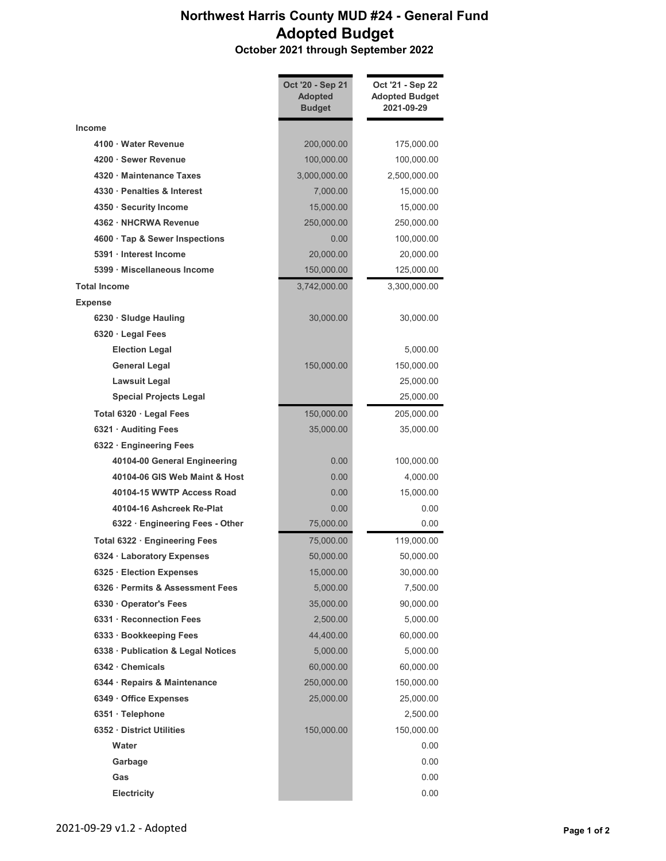## Northwest Harris County MUD #24 - General Fund Adopted Budget

October 2021 through September 2022

|                                    | Oct '20 - Sep 21<br><b>Adopted</b><br><b>Budget</b> | Oct '21 - Sep 22<br><b>Adopted Budget</b><br>2021-09-29 |
|------------------------------------|-----------------------------------------------------|---------------------------------------------------------|
| Income                             |                                                     |                                                         |
| 4100 · Water Revenue               | 200,000.00                                          | 175,000.00                                              |
| 4200 · Sewer Revenue               | 100,000.00                                          | 100,000.00                                              |
| 4320 Maintenance Taxes             | 3,000,000.00                                        | 2,500,000.00                                            |
| 4330 Penalties & Interest          | 7,000.00                                            | 15,000.00                                               |
| 4350 · Security Income             | 15,000.00                                           | 15,000.00                                               |
| 4362 · NHCRWA Revenue              | 250,000.00                                          | 250,000.00                                              |
| 4600 · Tap & Sewer Inspections     | 0.00                                                | 100,000.00                                              |
| 5391 Interest Income               | 20,000.00                                           | 20,000.00                                               |
| 5399 Miscellaneous Income          | 150,000.00                                          | 125,000.00                                              |
| <b>Total Income</b>                | 3,742,000.00                                        | 3,300,000.00                                            |
| <b>Expense</b>                     |                                                     |                                                         |
| 6230 · Sludge Hauling              | 30,000.00                                           | 30,000.00                                               |
| 6320 · Legal Fees                  |                                                     |                                                         |
| <b>Election Legal</b>              |                                                     | 5,000.00                                                |
| <b>General Legal</b>               | 150,000.00                                          | 150,000.00                                              |
| <b>Lawsuit Legal</b>               |                                                     | 25,000.00                                               |
| <b>Special Projects Legal</b>      |                                                     | 25,000.00                                               |
| Total 6320 · Legal Fees            | 150,000.00                                          | 205,000.00                                              |
| 6321 · Auditing Fees               | 35,000.00                                           | 35,000.00                                               |
| 6322 · Engineering Fees            |                                                     |                                                         |
| 40104-00 General Engineering       | 0.00                                                | 100,000.00                                              |
| 40104-06 GIS Web Maint & Host      | 0.00                                                | 4,000.00                                                |
| 40104-15 WWTP Access Road          | 0.00                                                | 15,000.00                                               |
| 40104-16 Ashcreek Re-Plat          | 0.00                                                | 0.00                                                    |
| 6322 · Engineering Fees - Other    | 75,000.00                                           | 0.00                                                    |
| Total 6322 · Engineering Fees      | 75,000.00                                           | 119,000.00                                              |
| 6324 · Laboratory Expenses         | 50,000.00                                           | 50,000.00                                               |
| 6325 Election Expenses             | 15,000.00                                           | 30,000.00                                               |
| 6326 · Permits & Assessment Fees   | 5,000.00                                            | 7,500.00                                                |
| 6330 Operator's Fees               | 35.000.00                                           | 90,000.00                                               |
| 6331 · Reconnection Fees           | 2,500.00                                            | 5,000.00                                                |
| 6333 · Bookkeeping Fees            | 44,400.00                                           | 60,000.00                                               |
| 6338 · Publication & Legal Notices | 5,000.00                                            | 5,000.00                                                |
| 6342 Chemicals                     | 60,000.00                                           | 60,000.00                                               |
| 6344 · Repairs & Maintenance       | 250,000.00                                          | 150,000.00                                              |
| 6349 Office Expenses               | 25,000.00                                           | 25,000.00                                               |
| 6351 · Telephone                   |                                                     | 2,500.00                                                |
| 6352 District Utilities            | 150,000.00                                          | 150,000.00                                              |
| Water                              |                                                     | 0.00                                                    |
| Garbage                            |                                                     | 0.00                                                    |
| Gas                                |                                                     | 0.00                                                    |
| Electricity                        |                                                     | 0.00                                                    |